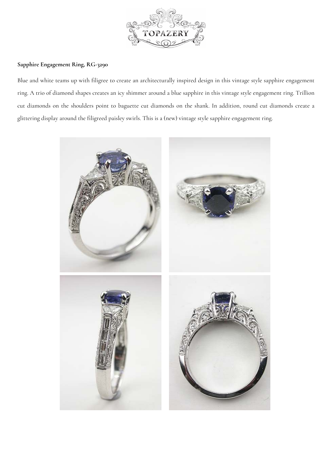

## **Sapphire Engagement Ring, RG-3290**

Blue and white teams up with filigree to create an architecturally inspired design in this vintage style sapphire engagement ring. A trio of diamond shapes creates an icy shimmer around a blue sapphire in this vintage style engagement ring. Trillion cut diamonds on the shoulders point to baguette cut diamonds on the shank. In addition, round cut diamonds create a glittering display around the filigreed paisley swirls. This is a (new) vintage style sapphire engagement ring.

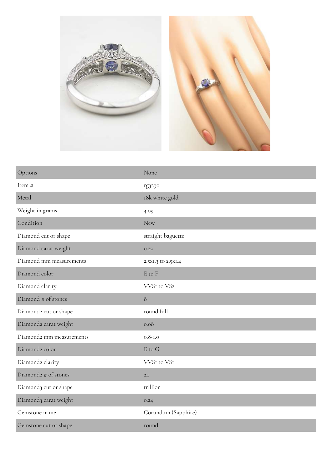

| Options                  | None                 |
|--------------------------|----------------------|
| Item #                   | rg3290               |
| Metal                    | 18k white gold       |
| Weight in grams          | 4.09                 |
| Condition                | <b>New</b>           |
| Diamond cut or shape     | straight baguette    |
| Diamond carat weight     | O.22                 |
| Diamond mm measurements  | 2.5XI.3 to 2.5XI.4   |
| Diamond color            | $\cal E$ to $\cal F$ |
| Diamond clarity          | VVSI to VS2          |
| Diamond # of stones      | $\,8\,$              |
| Diamond2 cut or shape    | round full           |
| Diamond2 carat weight    | 0.08                 |
| Diamond2 mm measurements | $0.8 - 1.0$          |
| Diamond2 color           | E to G               |
| Diamond2 clarity         | VVSI to VSI          |
| Diamond2 # of stones     | $24\,$               |
| Diamond3 cut or shape    | trillion             |
| Diamond3 carat weight    | O.24                 |
| Gemstone name            | Corundum (Sapphire)  |
| Gemstone cut or shape    | round                |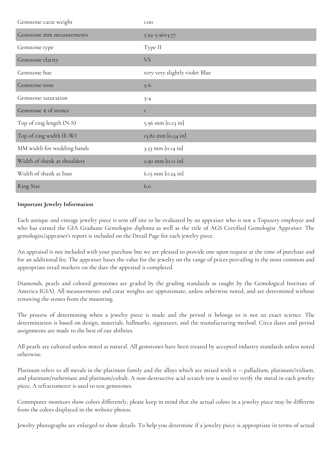| Gemstone carat weight       | <b>I.OO</b>                    |
|-----------------------------|--------------------------------|
| Gemstone mm measurements    | 5.92-5.96x3.77                 |
| Gemstone type               | Type II                        |
| Gemstone clarity            | <b>VS</b>                      |
| Gemstone hue                | very very slightly violet Blue |
| Gemstone tone               | $5 - 6$                        |
| Gemstone saturation         | $3 - 4$                        |
| Gemstone # of stones        | $\mathbf I$                    |
| Top of ring length (N-S)    | 5.96 mm [0.23 in]              |
| Top of ring width (E-W)     | 13.82 mm [0.54 in]             |
| MM width for wedding bands  | $3.53$ mm [0.14 in]            |
| Width of shank at shoulders | 2.90 mm [0.11 in]              |
| Width of shank at base      | $6.15$ mm $[0.24$ in]          |
| <b>Ring Size</b>            | 6.0                            |

## **Important Jewelry Information**

Each antique and vintage jewelry piece is sent off site to be evaluated by an appraiser who is not a Topazery employee and who has earned the GIA Graduate Gemologist diploma as well as the title of AGS Certified Gemologist Appraiser. The gemologist/appraiser's report is included on the Detail Page for each jewelry piece.

An appraisal is not included with your purchase but we are pleased to provide one upon request at the time of purchase and for an additional fee. The appraiser bases the value for the jewelry on the range of prices prevailing in the most common and appropriate retail markets on the date the appraisal is completed.

Diamonds, pearls and colored gemstones are graded by the grading standards as taught by the Gemological Institute of America (GIA). All measurements and carat weights are approximate, unless otherwise noted, and are determined without removing the stones from the mounting.

The process of determining when a jewelry piece is made and the period it belongs to is not an exact science. The determination is based on design, materials, hallmarks, signatures, and the manufacturing method. Circa dates and period assignments are made to the best of our abilities.

All pearls are cultured unless noted as natural. All gemstones have been treated by accepted industry standards unless noted otherwise.

Platinum refers to all metals in the platinum family and the alloys which are mixed with it -- palladium, platinum/iridium, and platinum/ruthenium and platinum/cobalt. A non-destructive acid scratch test is used to verify the metal in each jewelry piece. A refractometer is used to test gemstones.

Commputer monitors show colors differently; please keep in mind that the actual colors in a jewelry piece may be different from the colors displayed in the website photos.

Jewelry photographs are enlarged to show details. To help you determine if a jewelry piece is appropriate in terms of actual